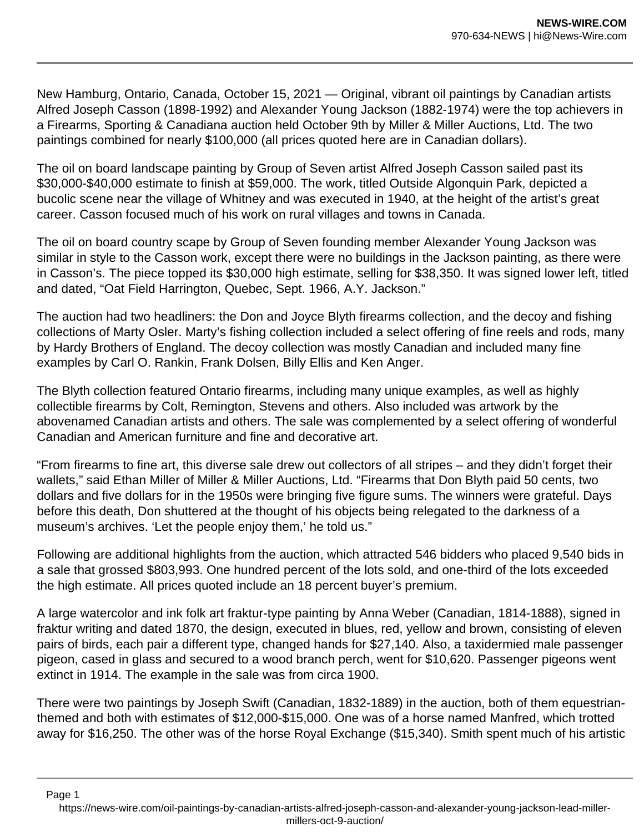New Hamburg, Ontario, Canada, October 15, 2021 — Original, vibrant oil paintings by Canadian artists Alfred Joseph Casson (1898-1992) and Alexander Young Jackson (1882-1974) were the top achievers in a Firearms, Sporting & Canadiana auction held October 9th by Miller & Miller Auctions, Ltd. The two paintings combined for nearly \$100,000 (all prices quoted here are in Canadian dollars).

The oil on board landscape painting by Group of Seven artist Alfred Joseph Casson sailed past its \$30,000-\$40,000 estimate to finish at \$59,000. The work, titled Outside Algonquin Park, depicted a bucolic scene near the village of Whitney and was executed in 1940, at the height of the artist's great career. Casson focused much of his work on rural villages and towns in Canada.

The oil on board country scape by Group of Seven founding member Alexander Young Jackson was similar in style to the Casson work, except there were no buildings in the Jackson painting, as there were in Casson's. The piece topped its \$30,000 high estimate, selling for \$38,350. It was signed lower left, titled and dated, "Oat Field Harrington, Quebec, Sept. 1966, A.Y. Jackson."

The auction had two headliners: the Don and Joyce Blyth firearms collection, and the decoy and fishing collections of Marty Osler. Marty's fishing collection included a select offering of fine reels and rods, many by Hardy Brothers of England. The decoy collection was mostly Canadian and included many fine examples by Carl O. Rankin, Frank Dolsen, Billy Ellis and Ken Anger.

The Blyth collection featured Ontario firearms, including many unique examples, as well as highly collectible firearms by Colt, Remington, Stevens and others. Also included was artwork by the abovenamed Canadian artists and others. The sale was complemented by a select offering of wonderful Canadian and American furniture and fine and decorative art.

"From firearms to fine art, this diverse sale drew out collectors of all stripes – and they didn't forget their wallets," said Ethan Miller of Miller & Miller Auctions, Ltd. "Firearms that Don Blyth paid 50 cents, two dollars and five dollars for in the 1950s were bringing five figure sums. The winners were grateful. Days before this death, Don shuttered at the thought of his objects being relegated to the darkness of a museum's archives. 'Let the people enjoy them,' he told us."

Following are additional highlights from the auction, which attracted 546 bidders who placed 9,540 bids in a sale that grossed \$803,993. One hundred percent of the lots sold, and one-third of the lots exceeded the high estimate. All prices quoted include an 18 percent buyer's premium.

A large watercolor and ink folk art fraktur-type painting by Anna Weber (Canadian, 1814-1888), signed in fraktur writing and dated 1870, the design, executed in blues, red, yellow and brown, consisting of eleven pairs of birds, each pair a different type, changed hands for \$27,140. Also, a taxidermied male passenger pigeon, cased in glass and secured to a wood branch perch, went for \$10,620. Passenger pigeons went extinct in 1914. The example in the sale was from circa 1900.

There were two paintings by Joseph Swift (Canadian, 1832-1889) in the auction, both of them equestrianthemed and both with estimates of \$12,000-\$15,000. One was of a horse named Manfred, which trotted away for \$16,250. The other was of the horse Royal Exchange (\$15,340). Smith spent much of his artistic

https://news-wire.com/oil-paintings-by-canadian-artists-alfred-joseph-casson-and-alexander-young-jackson-lead-millermillers-oct-9-auction/

Page 1